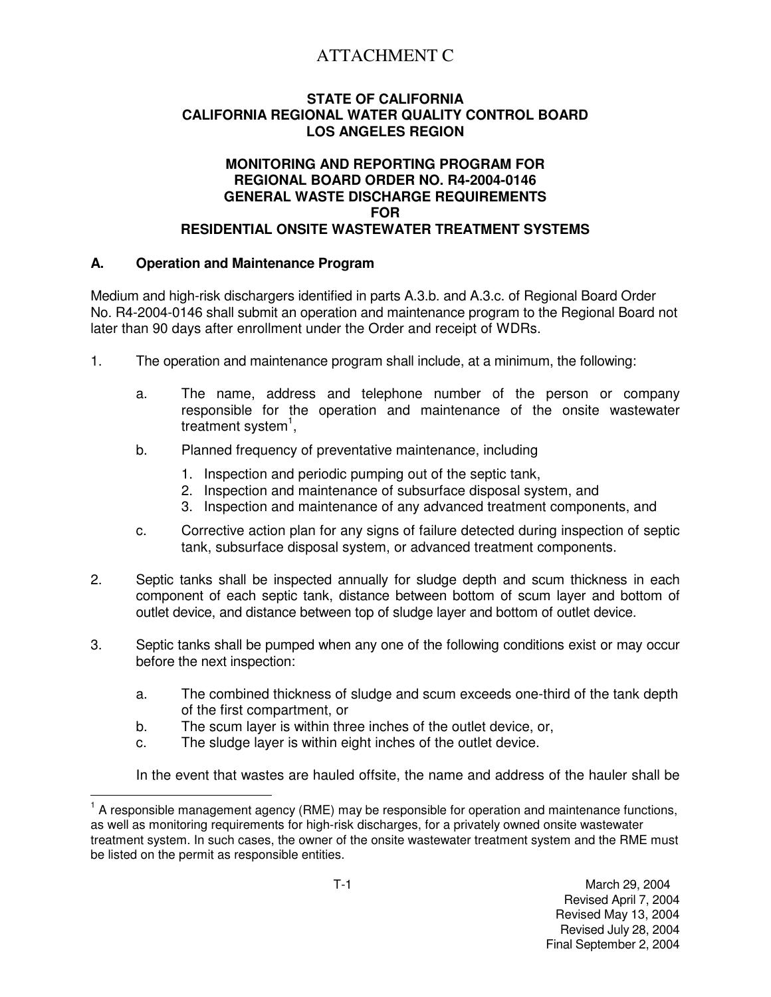# ATTACHMENT C

## **STATE OF CALIFORNIA CALIFORNIA REGIONAL WATER QUALITY CONTROL BOARD LOS ANGELES REGION**

## **MONITORING AND REPORTING PROGRAM FOR REGIONAL BOARD ORDER NO. R4-2004-0146 GENERAL WASTE DISCHARGE REQUIREMENTS FOR RESIDENTIAL ONSITE WASTEWATER TREATMENT SYSTEMS**

## **A. Operation and Maintenance Program**

Medium and high-risk dischargers identified in parts A.3.b. and A.3.c. of Regional Board Order No. R4-2004-0146 shall submit an operation and maintenance program to the Regional Board not later than 90 days after enrollment under the Order and receipt of WDRs.

- 1. The operation and maintenance program shall include, at a minimum, the following:
	- a. The name, address and telephone number of the person or company responsible for the operation and maintenance of the onsite wastewater treatment system<sup>1</sup>,
	- b. Planned frequency of preventative maintenance, including
		- 1. Inspection and periodic pumping out of the septic tank,
		- 2. Inspection and maintenance of subsurface disposal system, and
		- 3. Inspection and maintenance of any advanced treatment components, and
	- c. Corrective action plan for any signs of failure detected during inspection of septic tank, subsurface disposal system, or advanced treatment components.
- 2. Septic tanks shall be inspected annually for sludge depth and scum thickness in each component of each septic tank, distance between bottom of scum layer and bottom of outlet device, and distance between top of sludge layer and bottom of outlet device.
- 3. Septic tanks shall be pumped when any one of the following conditions exist or may occur before the next inspection:
	- a. The combined thickness of sludge and scum exceeds one-third of the tank depth of the first compartment, or
	- b. The scum layer is within three inches of the outlet device, or,
	- c. The sludge layer is within eight inches of the outlet device.

In the event that wastes are hauled offsite, the name and address of the hauler shall be

 $\frac{1}{\sqrt{2}}$ 1 A responsible management agency (RME) may be responsible for operation and maintenance functions, as well as monitoring requirements for high-risk discharges, for a privately owned onsite wastewater treatment system. In such cases, the owner of the onsite wastewater treatment system and the RME must be listed on the permit as responsible entities.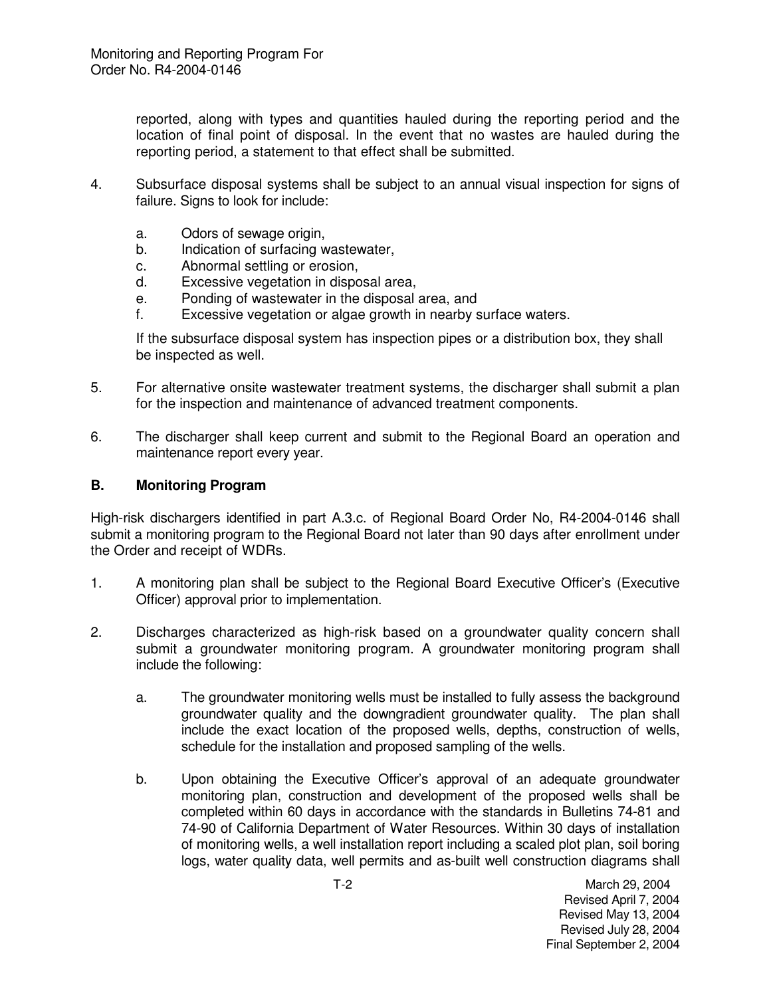reported, along with types and quantities hauled during the reporting period and the location of final point of disposal. In the event that no wastes are hauled during the reporting period, a statement to that effect shall be submitted.

- 4. Subsurface disposal systems shall be subject to an annual visual inspection for signs of failure. Signs to look for include:
	- a. Odors of sewage origin,
	- b. Indication of surfacing wastewater,
	- c. Abnormal settling or erosion,
	- d. Excessive vegetation in disposal area,
	- e. Ponding of wastewater in the disposal area, and
	- f. Excessive vegetation or algae growth in nearby surface waters.

If the subsurface disposal system has inspection pipes or a distribution box, they shall be inspected as well.

- 5. For alternative onsite wastewater treatment systems, the discharger shall submit a plan for the inspection and maintenance of advanced treatment components.
- 6. The discharger shall keep current and submit to the Regional Board an operation and maintenance report every year.

#### **B. Monitoring Program**

High-risk dischargers identified in part A.3.c. of Regional Board Order No, R4-2004-0146 shall submit a monitoring program to the Regional Board not later than 90 days after enrollment under the Order and receipt of WDRs.

- 1. A monitoring plan shall be subject to the Regional Board Executive Officer's (Executive Officer) approval prior to implementation.
- 2. Discharges characterized as high-risk based on a groundwater quality concern shall submit a groundwater monitoring program. A groundwater monitoring program shall include the following:
	- a. The groundwater monitoring wells must be installed to fully assess the background groundwater quality and the downgradient groundwater quality. The plan shall include the exact location of the proposed wells, depths, construction of wells, schedule for the installation and proposed sampling of the wells.
	- b. Upon obtaining the Executive Officer's approval of an adequate groundwater monitoring plan, construction and development of the proposed wells shall be completed within 60 days in accordance with the standards in Bulletins 74-81 and 74-90 of California Department of Water Resources. Within 30 days of installation of monitoring wells, a well installation report including a scaled plot plan, soil boring logs, water quality data, well permits and as-built well construction diagrams shall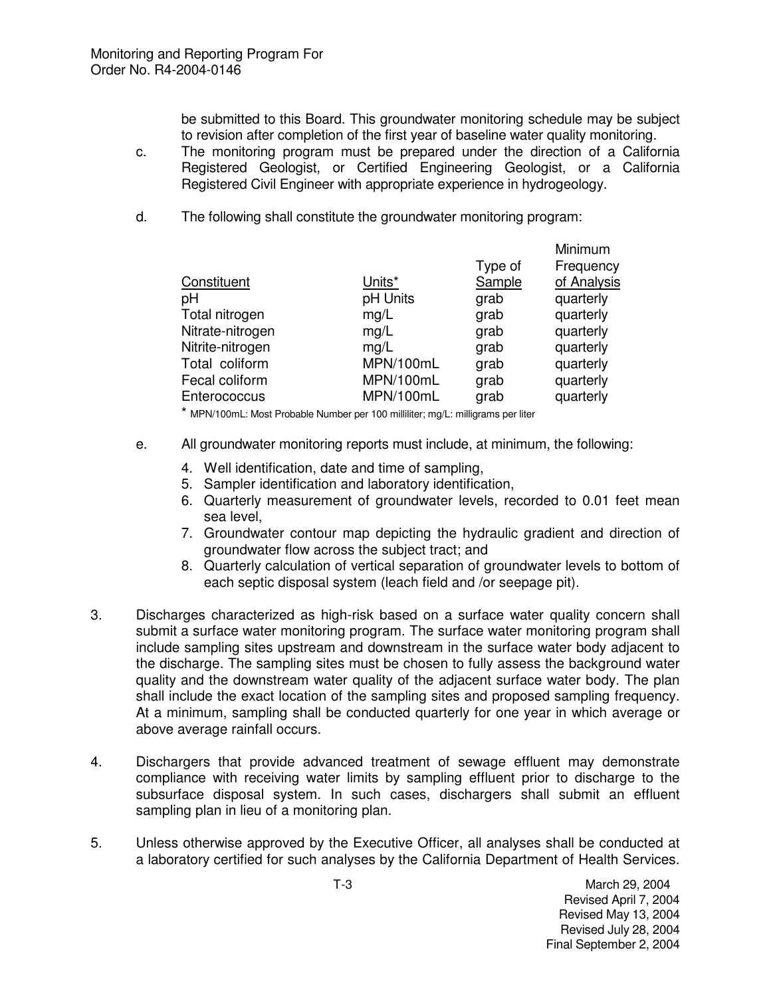be submitted to this Board. This groundwater monitoring schedule may be subject to revision after completion of the first year of baseline water quality monitoring.

- c. The monitoring program must be prepared under the direction of a California Registered Geologist, or Certified Engineering Geologist, or a California Registered Civil Engineer with appropriate experience in hydrogeology.
- d. The following shall constitute the groundwater monitoring program:

|                  |           |         | Minimum     |
|------------------|-----------|---------|-------------|
|                  |           | Type of | Frequency   |
| Constituent      | Units*    | Sample  | of Analysis |
| pH               | pH Units  | grab    | quarterly   |
| Total nitrogen   | mg/L      | grab    | quarterly   |
| Nitrate-nitrogen | mg/L      | grab    | quarterly   |
| Nitrite-nitrogen | mg/L      | grab    | quarterly   |
| Total coliform   | MPN/100mL | grab    | quarterly   |
| Fecal coliform   | MPN/100mL | grab    | quarterly   |
| Enterococcus     | MPN/100mL | grab    | quarterly   |
|                  |           |         |             |

\* MPN/100mL: Most Probable Number per 100 milliliter; mg/L: milligrams per liter

- e. All groundwater monitoring reports must include, at minimum, the following:
	- 4. Well identification, date and time of sampling,
	- 5. Sampler identification and laboratory identification,
	- 6. Quarterly measurement of groundwater levels, recorded to 0.01 feet mean sea level,
	- 7. Groundwater contour map depicting the hydraulic gradient and direction of groundwater flow across the subject tract; and
	- 8. Quarterly calculation of vertical separation of groundwater levels to bottom of each septic disposal system (leach field and /or seepage pit).
- 3. Discharges characterized as high-risk based on a surface water quality concern shall submit a surface water monitoring program. The surface water monitoring program shall include sampling sites upstream and downstream in the surface water body adjacent to the discharge. The sampling sites must be chosen to fully assess the background water quality and the downstream water quality of the adjacent surface water body. The plan shall include the exact location of the sampling sites and proposed sampling frequency. At a minimum, sampling shall be conducted quarterly for one year in which average or above average rainfall occurs.
- 4. Dischargers that provide advanced treatment of sewage effluent may demonstrate compliance with receiving water limits by sampling effluent prior to discharge to the subsurface disposal system. In such cases, dischargers shall submit an effluent sampling plan in lieu of a monitoring plan.
- 5. Unless otherwise approved by the Executive Officer, all analyses shall be conducted at a laboratory certified for such analyses by the California Department of Health Services.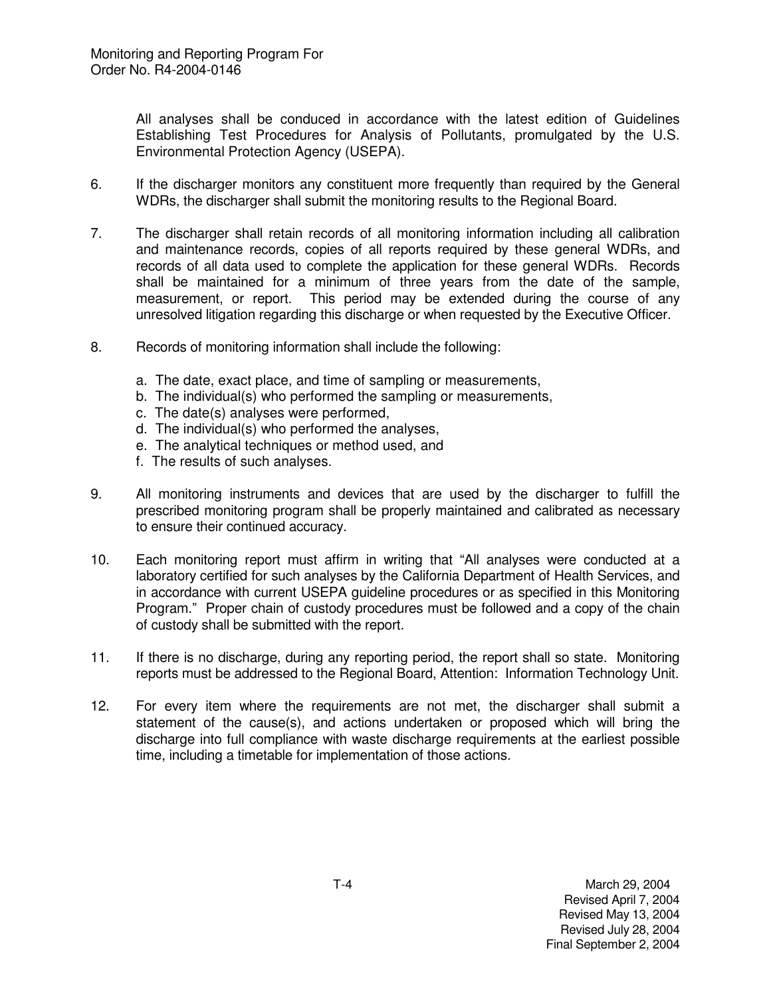All analyses shall be conduced in accordance with the latest edition of Guidelines Establishing Test Procedures for Analysis of Pollutants, promulgated by the U.S. Environmental Protection Agency (USEPA).

- 6. If the discharger monitors any constituent more frequently than required by the General WDRs, the discharger shall submit the monitoring results to the Regional Board.
- 7. The discharger shall retain records of all monitoring information including all calibration and maintenance records, copies of all reports required by these general WDRs, and records of all data used to complete the application for these general WDRs. Records shall be maintained for a minimum of three years from the date of the sample, measurement, or report. This period may be extended during the course of any unresolved litigation regarding this discharge or when requested by the Executive Officer.
- 8. Records of monitoring information shall include the following:
	- a. The date, exact place, and time of sampling or measurements,
	- b. The individual(s) who performed the sampling or measurements,
	- c. The date(s) analyses were performed,
	- d. The individual(s) who performed the analyses,
	- e. The analytical techniques or method used, and
	- f. The results of such analyses.
- 9. All monitoring instruments and devices that are used by the discharger to fulfill the prescribed monitoring program shall be properly maintained and calibrated as necessary to ensure their continued accuracy.
- 10. Each monitoring report must affirm in writing that "All analyses were conducted at a laboratory certified for such analyses by the California Department of Health Services, and in accordance with current USEPA guideline procedures or as specified in this Monitoring Program." Proper chain of custody procedures must be followed and a copy of the chain of custody shall be submitted with the report.
- 11. If there is no discharge, during any reporting period, the report shall so state. Monitoring reports must be addressed to the Regional Board, Attention: Information Technology Unit.
- 12. For every item where the requirements are not met, the discharger shall submit a statement of the cause(s), and actions undertaken or proposed which will bring the discharge into full compliance with waste discharge requirements at the earliest possible time, including a timetable for implementation of those actions.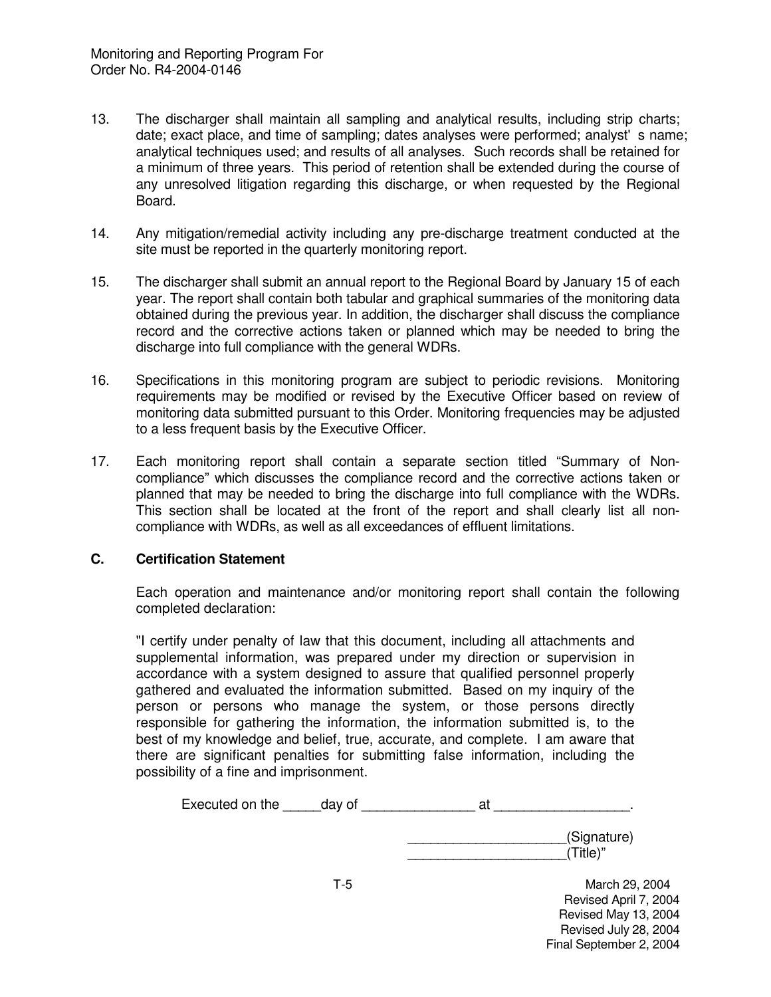- 13. The discharger shall maintain all sampling and analytical results, including strip charts; date; exact place, and time of sampling; dates analyses were performed; analyst's name; analytical techniques used; and results of all analyses. Such records shall be retained for a minimum of three years. This period of retention shall be extended during the course of any unresolved litigation regarding this discharge, or when requested by the Regional Board.
- 14. Any mitigation/remedial activity including any pre-discharge treatment conducted at the site must be reported in the quarterly monitoring report.
- 15. The discharger shall submit an annual report to the Regional Board by January 15 of each year. The report shall contain both tabular and graphical summaries of the monitoring data obtained during the previous year. In addition, the discharger shall discuss the compliance record and the corrective actions taken or planned which may be needed to bring the discharge into full compliance with the general WDRs.
- 16. Specifications in this monitoring program are subject to periodic revisions. Monitoring requirements may be modified or revised by the Executive Officer based on review of monitoring data submitted pursuant to this Order. Monitoring frequencies may be adjusted to a less frequent basis by the Executive Officer.
- 17. Each monitoring report shall contain a separate section titled "Summary of Noncompliance" which discusses the compliance record and the corrective actions taken or planned that may be needed to bring the discharge into full compliance with the WDRs. This section shall be located at the front of the report and shall clearly list all noncompliance with WDRs, as well as all exceedances of effluent limitations.

## **C. Certification Statement**

Each operation and maintenance and/or monitoring report shall contain the following completed declaration:

"I certify under penalty of law that this document, including all attachments and supplemental information, was prepared under my direction or supervision in accordance with a system designed to assure that qualified personnel properly gathered and evaluated the information submitted. Based on my inquiry of the person or persons who manage the system, or those persons directly responsible for gathering the information, the information submitted is, to the best of my knowledge and belief, true, accurate, and complete. I am aware that there are significant penalties for submitting false information, including the possibility of a fine and imprisonment.

| Executed on the | day of | at                      |  |
|-----------------|--------|-------------------------|--|
|                 |        | (Signature)<br>(Title)" |  |
|                 | T-5    | March 29, 2004          |  |

Revised April 7, 2004 Revised May 13, 2004 Revised July 28, 2004 Final September 2, 2004